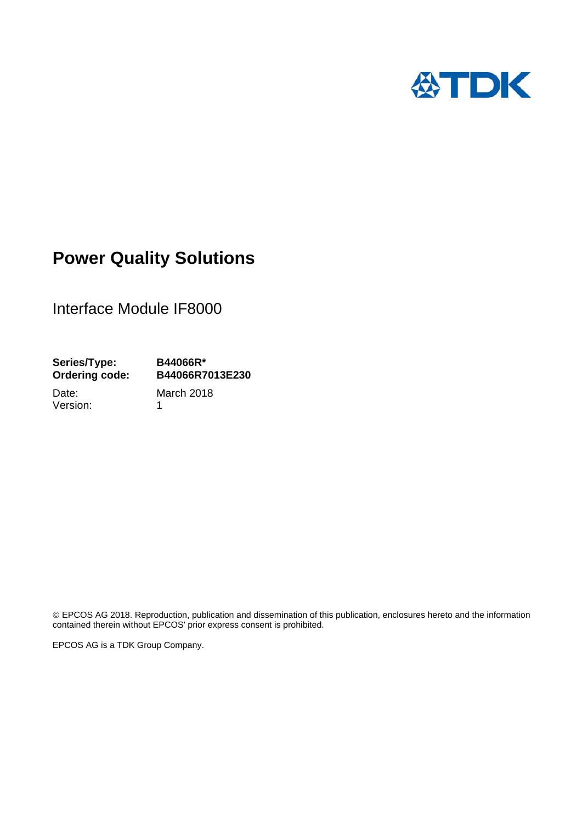

# **Power Quality Solutions**

Interface Module IF8000

**Series/Type: B44066R\* Ordering code: B44066R7013E230** 

Version: 1

Date: March 2018

 EPCOS AG 2018. Reproduction, publication and dissemination of this publication, enclosures hereto and the information contained therein without EPCOS' prior express consent is prohibited.

EPCOS AG is a TDK Group Company.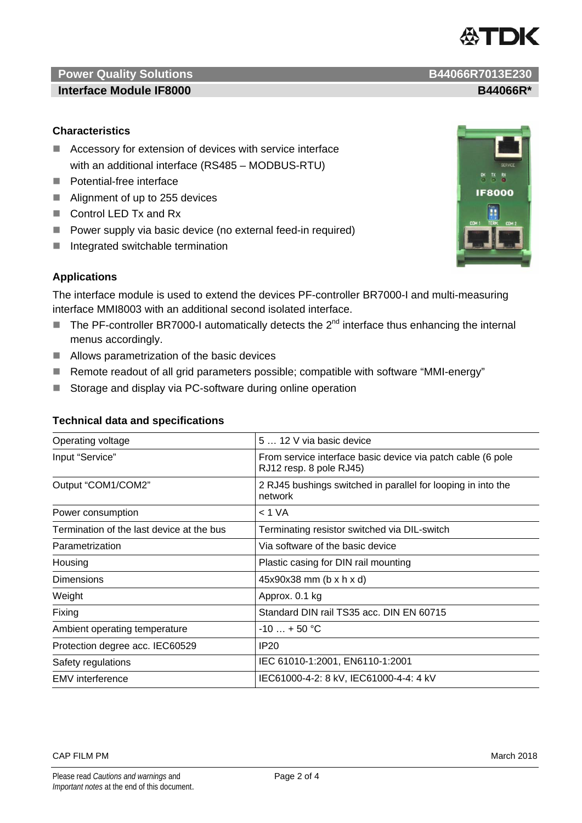# **Power Quality Solutions B44066R7013E230**

#### **Interface Module IF8000 B44066R\***

### **Characteristics]**

- Accessory for extension of devices with service interface with an additional interface (RS485 – MODBUS-RTU)
- **Potential-free interface**
- Alignment of up to 255 devices
- Control LED Tx and Rx
- Power supply via basic device (no external feed-in required)
- $\blacksquare$  Integrated switchable termination

## **Applications**

The interface module is used to extend the devices PF-controller BR7000-I and multi-measuring interface MMI8003 with an additional second isolated interface.

- The PF-controller BR7000-I automatically detects the  $2^{nd}$  interface thus enhancing the internal menus accordingly.
- Allows parametrization of the basic devices
- Remote readout of all grid parameters possible; compatible with software "MMI-energy"
- Storage and display via PC-software during online operation

| Operating voltage                         | 5  12 V via basic device                                                               |
|-------------------------------------------|----------------------------------------------------------------------------------------|
| Input "Service"                           | From service interface basic device via patch cable (6 pole<br>RJ12 resp. 8 pole RJ45) |
| Output "COM1/COM2"                        | 2 RJ45 bushings switched in parallel for looping in into the<br>network                |
| Power consumption                         | < 1 VA                                                                                 |
| Termination of the last device at the bus | Terminating resistor switched via DIL-switch                                           |
| Parametrization                           | Via software of the basic device                                                       |
| Housing                                   | Plastic casing for DIN rail mounting                                                   |
| <b>Dimensions</b>                         | $45x90x38$ mm (b x h x d)                                                              |
| Weight                                    | Approx. 0.1 kg                                                                         |
| Fixing                                    | Standard DIN rail TS35 acc. DIN EN 60715                                               |
| Ambient operating temperature             | $-10 + 50$ °C                                                                          |
| Protection degree acc. IEC60529           | IP20                                                                                   |
| Safety regulations                        | IEC 61010-1:2001, EN6110-1:2001                                                        |
| <b>EMV</b> interference                   | IEC61000-4-2: 8 kV, IEC61000-4-4: 4 kV                                                 |

#### **Technical data and specifications**





怂TDK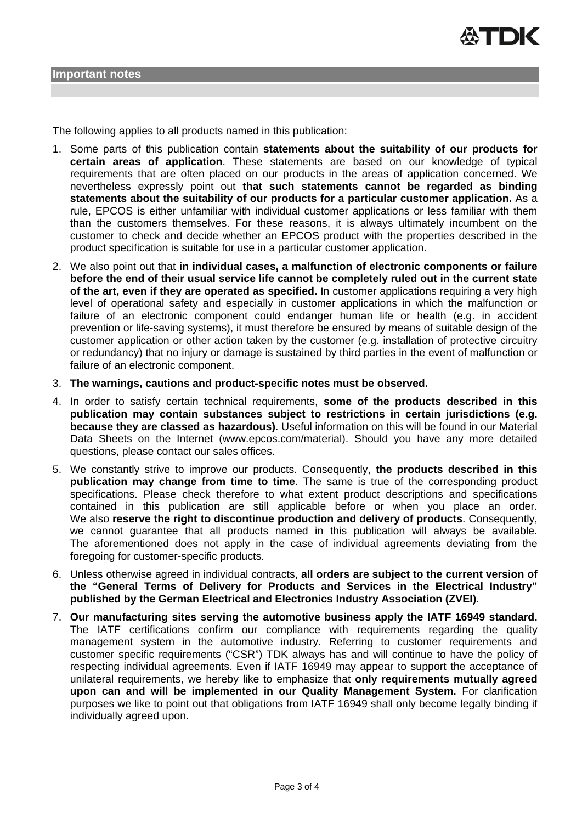The following applies to all products named in this publication:

- 1. Some parts of this publication contain **statements about the suitability of our products for certain areas of application**. These statements are based on our knowledge of typical requirements that are often placed on our products in the areas of application concerned. We nevertheless expressly point out **that such statements cannot be regarded as binding statements about the suitability of our products for a particular customer application.** As a rule, EPCOS is either unfamiliar with individual customer applications or less familiar with them than the customers themselves. For these reasons, it is always ultimately incumbent on the customer to check and decide whether an EPCOS product with the properties described in the product specification is suitable for use in a particular customer application.
- 2. We also point out that **in individual cases, a malfunction of electronic components or failure before the end of their usual service life cannot be completely ruled out in the current state of the art, even if they are operated as specified.** In customer applications requiring a very high level of operational safety and especially in customer applications in which the malfunction or failure of an electronic component could endanger human life or health (e.g. in accident prevention or life-saving systems), it must therefore be ensured by means of suitable design of the customer application or other action taken by the customer (e.g. installation of protective circuitry or redundancy) that no injury or damage is sustained by third parties in the event of malfunction or failure of an electronic component.
- 3. **The warnings, cautions and product-specific notes must be observed.**
- 4. In order to satisfy certain technical requirements, **some of the products described in this publication may contain substances subject to restrictions in certain jurisdictions (e.g. because they are classed as hazardous)**. Useful information on this will be found in our Material Data Sheets on the Internet (www.epcos.com/material). Should you have any more detailed questions, please contact our sales offices.
- 5. We constantly strive to improve our products. Consequently, **the products described in this publication may change from time to time**. The same is true of the corresponding product specifications. Please check therefore to what extent product descriptions and specifications contained in this publication are still applicable before or when you place an order. We also **reserve the right to discontinue production and delivery of products**. Consequently, we cannot guarantee that all products named in this publication will always be available. The aforementioned does not apply in the case of individual agreements deviating from the foregoing for customer-specific products.
- 6. Unless otherwise agreed in individual contracts, **all orders are subject to the current version of the "General Terms of Delivery for Products and Services in the Electrical Industry" published by the German Electrical and Electronics Industry Association (ZVEI)**.
- 7. **Our manufacturing sites serving the automotive business apply the IATF 16949 standard.** The IATF certifications confirm our compliance with requirements regarding the quality management system in the automotive industry. Referring to customer requirements and customer specific requirements ("CSR") TDK always has and will continue to have the policy of respecting individual agreements. Even if IATF 16949 may appear to support the acceptance of unilateral requirements, we hereby like to emphasize that **only requirements mutually agreed upon can and will be implemented in our Quality Management System.** For clarification purposes we like to point out that obligations from IATF 16949 shall only become legally binding if individually agreed upon.